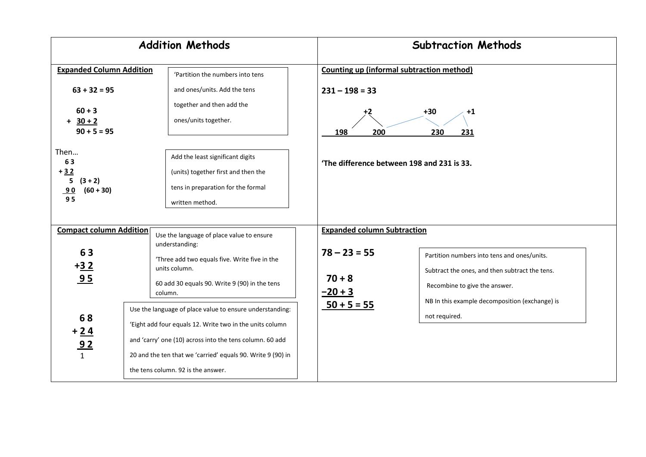| <b>Addition Methods</b>                                                                                                                                                                                      |                                                                                                                                                                                                                                                                                       | <b>Subtraction Methods</b>                                                                                                                                                |  |
|--------------------------------------------------------------------------------------------------------------------------------------------------------------------------------------------------------------|---------------------------------------------------------------------------------------------------------------------------------------------------------------------------------------------------------------------------------------------------------------------------------------|---------------------------------------------------------------------------------------------------------------------------------------------------------------------------|--|
| <b>Expanded Column Addition</b><br>'Partition the numbers into tens                                                                                                                                          |                                                                                                                                                                                                                                                                                       | Counting up (informal subtraction method)                                                                                                                                 |  |
| $63 + 32 = 95$<br>$60 + 3$<br>$+ 30 + 2$<br>$90 + 5 = 95$                                                                                                                                                    | and ones/units. Add the tens<br>together and then add the<br>ones/units together.                                                                                                                                                                                                     | $231 - 198 = 33$<br>$+30$<br>$+1$<br>198<br>200<br>230<br>231                                                                                                             |  |
| Then<br>Add the least significant digits<br>63<br>$+32$<br>(units) together first and then the<br>$(3 + 2)$<br>5.<br>tens in preparation for the formal<br>$(60 + 30)$<br><u>90</u><br>95<br>written method. |                                                                                                                                                                                                                                                                                       | 'The difference between 198 and 231 is 33.                                                                                                                                |  |
| <b>Compact column Addition</b><br>Use the language of place value to ensure<br>understanding:                                                                                                                |                                                                                                                                                                                                                                                                                       | <b>Expanded column Subtraction</b>                                                                                                                                        |  |
| 63<br>$+32$<br>95                                                                                                                                                                                            | 'Three add two equals five. Write five in the<br>units column.<br>60 add 30 equals 90. Write 9 (90) in the tens<br>column.                                                                                                                                                            | $78 - 23 = 55$<br>Partition numbers into tens and ones/units.<br>Subtract the ones, and then subtract the tens.<br>$70 + 8$<br>Recombine to give the answer.<br>$-20 + 3$ |  |
| 68<br>$rac{1}{\frac{92}{1}}$                                                                                                                                                                                 | Use the language of place value to ensure understanding:<br>'Eight add four equals 12. Write two in the units column<br>and 'carry' one (10) across into the tens column. 60 add<br>20 and the ten that we 'carried' equals 90. Write 9 (90) in<br>the tens column. 92 is the answer. | NB In this example decomposition (exchange) is<br>$50 + 5 = 55$<br>not required.                                                                                          |  |